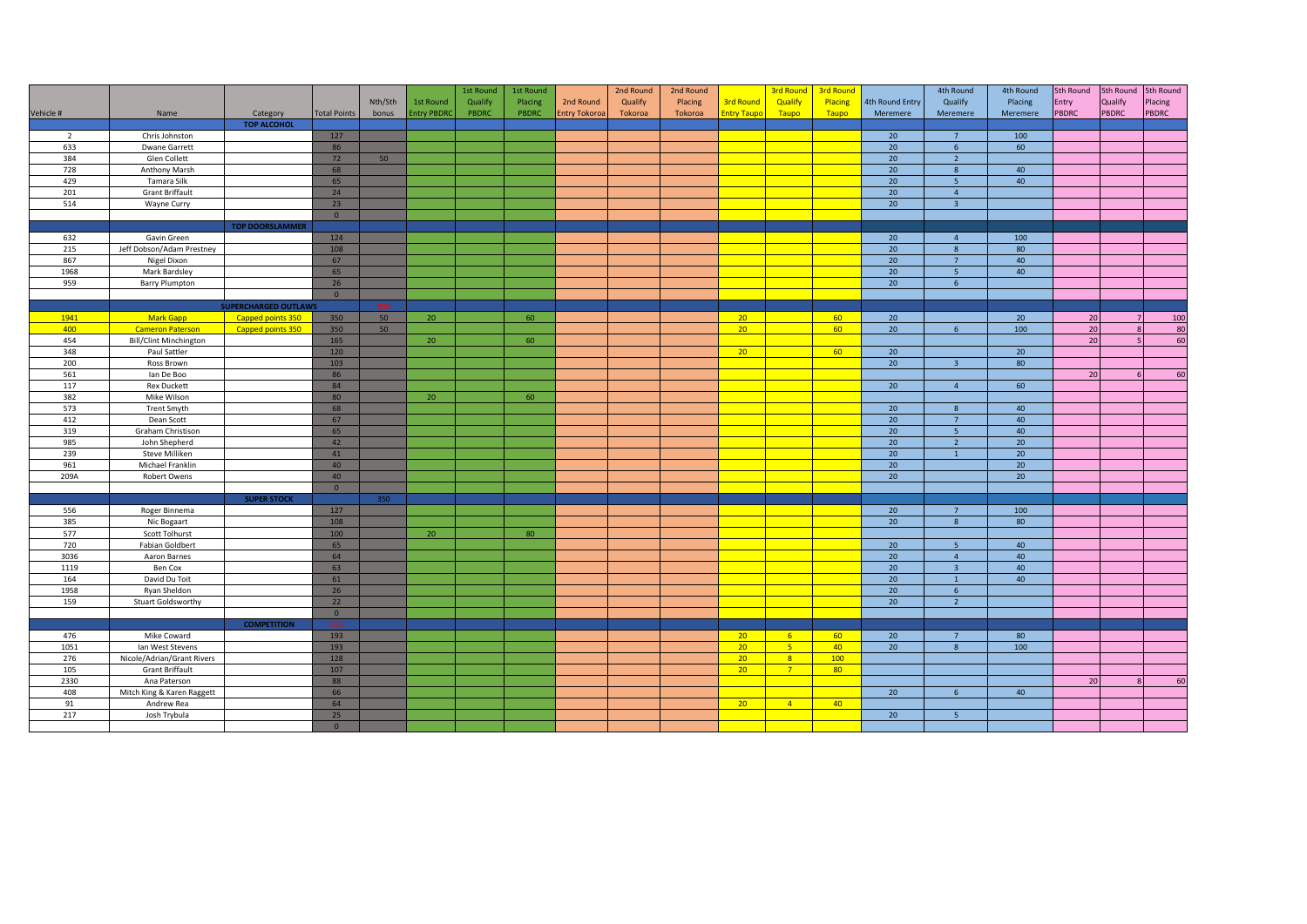|                |                               |                             |                     |         |                    | 1st Round | 1st Round |                      | 2nd Round | 2nd Round |                    | 3rd Round                        | 3rd Round |                 | 4th Round               | 4th Round       | 5th Round    | 5th Round      | 5th Round |
|----------------|-------------------------------|-----------------------------|---------------------|---------|--------------------|-----------|-----------|----------------------|-----------|-----------|--------------------|----------------------------------|-----------|-----------------|-------------------------|-----------------|--------------|----------------|-----------|
|                |                               |                             |                     | Nth/Sth | 1st Round          | Qualify   | Placing   | 2nd Round            | Qualify   | Placing   | <b>3rd Round</b>   | Qualify                          | Placing   | 4th Round Entry | Qualify                 | Placing         | Entry        | Qualify        | Placing   |
| Vehicle #      | Name                          | Category                    | <b>Total Points</b> | bonus   | <b>Entry PBDRO</b> | PBDRC     | PBDRC     | <b>Entry Tokoroa</b> | Tokoroa   | Tokoroa   | <b>Entry Taupo</b> | Taupo                            | Taupo     | Meremere        | Meremere                | Meremere        | <b>PBDRC</b> | <b>PBDRC</b>   | PBDRC     |
|                |                               | <b>TOP ALCOHOL</b>          |                     |         |                    |           |           |                      |           |           |                    |                                  |           |                 |                         |                 |              |                |           |
| $\overline{2}$ | Chris Johnston                |                             | 127                 |         |                    |           |           |                      |           |           |                    |                                  |           | 20              | $7^{\circ}$             | 100             |              |                |           |
| 633            | Dwane Garrett                 |                             | 86                  |         |                    |           |           |                      |           |           |                    |                                  |           | 20              | $6\overline{6}$         | 60              |              |                |           |
| 384            | Glen Collett                  |                             | 72                  | 50      |                    |           |           |                      |           |           |                    |                                  |           | 20              | $\overline{2}$          |                 |              |                |           |
| 728            | Anthony Marsh                 |                             | 68                  |         |                    |           |           |                      |           |           |                    |                                  |           | 20              | 8                       | 40              |              |                |           |
| 429            | Tamara Silk                   |                             | 65                  |         |                    |           |           |                      |           |           |                    |                                  |           | 20              | 5 <sup>5</sup>          | 40              |              |                |           |
| 201            | <b>Grant Briffault</b>        |                             | 24                  |         |                    |           |           |                      |           |           |                    |                                  |           | 20              | $\overline{4}$          |                 |              |                |           |
| 514            | Wayne Curry                   |                             | 23                  |         |                    |           |           |                      |           |           |                    |                                  |           | 20              | $\overline{\mathbf{3}}$ |                 |              |                |           |
|                |                               |                             | $\circ$             |         |                    |           |           |                      |           |           |                    |                                  |           |                 |                         |                 |              |                |           |
|                |                               | <b>TOP DOORSLAMMER</b>      |                     |         |                    |           |           |                      |           |           |                    |                                  |           |                 |                         |                 |              |                |           |
| 632            | Gavin Green                   |                             | 124                 |         |                    |           |           |                      |           |           |                    |                                  |           | 20              | $\overline{4}$          | 100             |              |                |           |
| 215            |                               |                             |                     |         |                    |           |           |                      |           |           |                    |                                  |           | 20              |                         | 80              |              |                |           |
| 867            | Jeff Dobson/Adam Prestney     |                             | 108                 |         |                    |           |           |                      |           |           |                    |                                  |           | 20              | 8<br>$7^{\circ}$        | 40              |              |                |           |
|                | Nigel Dixon                   |                             | 67                  |         |                    |           |           |                      |           |           |                    |                                  |           |                 |                         |                 |              |                |           |
| 1968           | Mark Bardsley                 |                             | 65                  |         |                    |           |           |                      |           |           |                    |                                  |           | 20              | 5 <sub>o</sub>          | 40              |              |                |           |
| 959            | <b>Barry Plumpton</b>         |                             | 26                  |         |                    |           |           |                      |           |           |                    |                                  |           | 20              | $6\overline{6}$         |                 |              |                |           |
|                |                               |                             | $\circ$             |         |                    |           |           |                      |           |           |                    |                                  |           |                 |                         |                 |              |                |           |
|                |                               | <b>SUPERCHARGED OUTLAWS</b> |                     | 350     |                    |           |           |                      |           |           |                    |                                  |           |                 |                         |                 |              |                |           |
| 1941           | Mark Gapp                     | Capped points 350           | 350                 | 50      | 20                 |           | 60        |                      |           |           | 20 <sup>2</sup>    |                                  | 60        | 20              |                         | 20              | 20           |                | 100       |
| 400            | <b>Cameron Paterson</b>       | Capped points 350           | 350                 | 50      |                    |           |           |                      |           |           | 20 <sup>2</sup>    |                                  | 60        | 20              | $6\overline{6}$         | 100             | 20           |                | 80        |
| 454            | <b>Bill/Clint Minchington</b> |                             | 165                 |         | 20 <sup>°</sup>    |           | 60        |                      |           |           |                    |                                  |           |                 |                         |                 | 20           | $\overline{5}$ | 60        |
| 348            | Paul Sattler                  |                             | 120                 |         |                    |           |           |                      |           |           | 20 <sup>2</sup>    |                                  | 60        | 20              |                         | 20 <sup>°</sup> |              |                |           |
| 200            | Ross Brown                    |                             | 103                 |         |                    |           |           |                      |           |           |                    |                                  |           | 20              | $\overline{3}$          | 80              |              |                |           |
| 561            | lan De Boo                    |                             | 86                  |         |                    |           |           |                      |           |           |                    |                                  |           |                 |                         |                 | 20           |                | 60        |
| 117            | <b>Rex Duckett</b>            |                             | 84                  |         |                    |           |           |                      |           |           |                    |                                  |           | 20              | $\overline{4}$          | 60              |              |                |           |
| 382            | Mike Wilson                   |                             | 80                  |         | 20                 |           | 60        |                      |           |           |                    |                                  |           |                 |                         |                 |              |                |           |
| 573            | <b>Trent Smyth</b>            |                             | 68                  |         |                    |           |           |                      |           |           |                    |                                  |           | 20 <sup>°</sup> | 8                       | 40              |              |                |           |
| 412            | Dean Scott                    |                             | 67                  |         |                    |           |           |                      |           |           |                    |                                  |           | 20              | $7^{\circ}$             | 40              |              |                |           |
| 319            | Graham Christison             |                             | 65                  |         |                    |           |           |                      |           |           |                    |                                  |           | 20              | 5 <sub>5</sub>          | 40              |              |                |           |
| 985            | John Shepherd                 |                             | 42                  |         |                    |           |           |                      |           |           |                    |                                  |           | 20              | $\overline{2}$          | 20              |              |                |           |
| 239            | Steve Milliken                |                             | 41                  |         |                    |           |           |                      |           |           |                    |                                  |           | 20              | $\overline{1}$          | 20              |              |                |           |
| 961            | Michael Franklin              |                             | 40                  |         |                    |           |           |                      |           |           |                    |                                  |           | 20              |                         | 20              |              |                |           |
| 209A           | Robert Owens                  |                             | 40 <sup>°</sup>     |         |                    |           |           |                      |           |           |                    |                                  |           | 20              |                         | 20 <sup>°</sup> |              |                |           |
|                |                               |                             | $\circ$             |         |                    |           |           |                      |           |           |                    |                                  |           |                 |                         |                 |              |                |           |
|                |                               | <b>SUPER STOCK</b>          |                     | 350     |                    |           |           |                      |           |           |                    |                                  |           |                 |                         |                 |              |                |           |
| 556            | Roger Binnema                 |                             | 127                 |         |                    |           |           |                      |           |           |                    |                                  |           | 20              | $\overline{7}$          | 100             |              |                |           |
| 385            | Nic Bogaart                   |                             | 108                 |         |                    |           |           |                      |           |           |                    |                                  |           | 20              | 8                       | 80              |              |                |           |
| 577            | Scott Tolhurst                |                             | 100                 |         | 20 <sup>°</sup>    |           | 80        |                      |           |           |                    |                                  |           |                 |                         |                 |              |                |           |
| 720            | <b>Fabian Goldbert</b>        |                             | 65                  |         |                    |           |           |                      |           |           |                    |                                  |           | 20              | 5 <sup>1</sup>          | 40              |              |                |           |
| 3036           | Aaron Barnes                  |                             | 64                  |         |                    |           |           |                      |           |           |                    |                                  |           | 20              | $\overline{4}$          | 40              |              |                |           |
| 1119           | Ben Cox                       |                             | 63                  |         |                    |           |           |                      |           |           |                    |                                  |           | 20 <sup>°</sup> | $\overline{3}$          | 40              |              |                |           |
| 164            | David Du Toit                 |                             | 61                  |         |                    |           |           |                      |           |           |                    |                                  |           | 20              | $\overline{1}$          | 40              |              |                |           |
| 1958           | Ryan Sheldon                  |                             | 26                  |         |                    |           |           |                      |           |           |                    |                                  |           | 20              | $6\overline{6}$         |                 |              |                |           |
| 159            | Stuart Goldsworthy            |                             | 22                  |         |                    |           |           |                      |           |           |                    |                                  |           | 20              | $\overline{2}$          |                 |              |                |           |
|                |                               |                             | $\circ$             |         |                    |           |           |                      |           |           |                    |                                  |           |                 |                         |                 |              |                |           |
|                |                               | <b>COMPETITION</b>          | 350                 |         |                    |           |           |                      |           |           |                    |                                  |           |                 |                         |                 |              |                |           |
| 476            | Mike Coward                   |                             | 193                 |         |                    |           |           |                      |           |           | 20 <sup>2</sup>    | 6 <sup>1</sup>                   | 60        | 20              | $7^{\circ}$             | 80              |              |                |           |
|                |                               |                             |                     |         |                    |           |           |                      |           |           |                    |                                  |           |                 |                         |                 |              |                |           |
| 1051           | Ian West Stevens              |                             | 193                 |         |                    |           |           |                      |           |           | 20 <sup>2</sup>    | 5 <sub>1</sub><br>8 <sup>1</sup> | 40<br>100 | 20              | 8                       | 100             |              |                |           |
| 276            | Nicole/Adrian/Grant Rivers    |                             | 128                 |         |                    |           |           |                      |           |           | 20 <sup>2</sup>    |                                  |           |                 |                         |                 |              |                |           |
| 105            | <b>Grant Briffault</b>        |                             | 107                 |         |                    |           |           |                      |           |           | 20 <sup>2</sup>    | 7 <sup>7</sup>                   | 80        |                 |                         |                 |              |                |           |
| 2330           | Ana Paterson                  |                             | 88                  |         |                    |           |           |                      |           |           |                    |                                  |           |                 |                         |                 | 20           |                | 60        |
| 408            | Mitch King & Karen Raggett    |                             | 66                  |         |                    |           |           |                      |           |           |                    |                                  |           | 20              | 6                       | 40              |              |                |           |
| 91             | Andrew Rea                    |                             | 64                  |         |                    |           |           |                      |           |           | 20 <sup>2</sup>    | $\sqrt{4}$                       | 40        |                 |                         |                 |              |                |           |
| 217            | Josh Trybula                  |                             | 25                  |         |                    |           |           |                      |           |           |                    |                                  |           | 20              | 5 <sub>5</sub>          |                 |              |                |           |
|                |                               |                             | $\circ$             |         |                    |           |           |                      |           |           |                    |                                  |           |                 |                         |                 |              |                |           |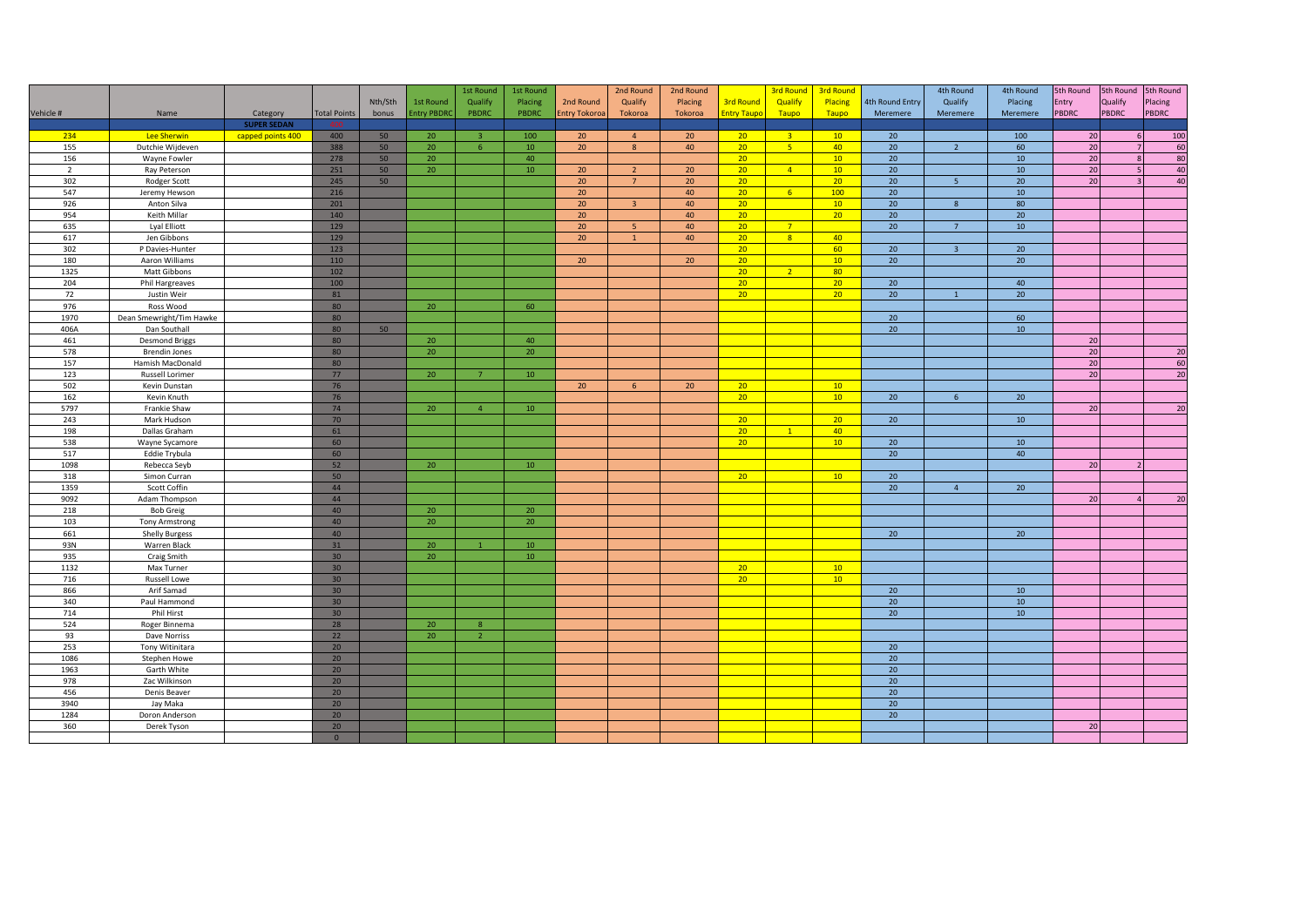|                |                          |                    |                     |         |                   | 1st Round               | 1st Round       |                      | 2nd Round               | 2nd Round       |                    | <b>3rd Round</b> | <b>3rd Round</b> |                 | 4th Round        | 4th Round       | 5th Round       | 5th Round    | 5th Round    |
|----------------|--------------------------|--------------------|---------------------|---------|-------------------|-------------------------|-----------------|----------------------|-------------------------|-----------------|--------------------|------------------|------------------|-----------------|------------------|-----------------|-----------------|--------------|--------------|
|                |                          |                    |                     | Nth/Sth | 1st Round         | Qualify                 | Placing         | 2nd Round            | Qualify                 | Placing         | <b>3rd Round</b>   | Qualify          | Placing          | 4th Round Entry | Qualify          | Placing         | Entry           | Qualify      | Placing      |
| Vehicle #      | Name                     | Category           | <b>Total Points</b> | bonus   | <b>Entry PBDR</b> | PBDRC                   | PBDRC           | <b>Entry Tokoroa</b> | Tokoroa                 | Tokoroa         | <b>Entry Taupo</b> | Taupo            | Taupo            | Meremere        | Meremere         | Meremere        | <b>PBDRC</b>    | <b>PBDRC</b> | <b>PBDRC</b> |
|                |                          | <b>SUPER SEDAN</b> |                     |         |                   |                         |                 |                      |                         |                 |                    |                  |                  |                 |                  |                 |                 |              |              |
| 234            | Lee Sherwin              | capped points 400  | 400                 | 50      | 20                | $\overline{\mathbf{3}}$ | 100             | 20                   | $\overline{4}$          | 20 <sup>°</sup> | 20                 | 3 <sup>o</sup>   | 10               | 20              |                  | 100             | 20              | 6            | 100          |
| 155            | Dutchie Wijdeven         |                    | 388                 | 50      | 20 <sub>2</sub>   | 6 <sup>°</sup>          | 10              | 20                   | 8                       | 40              | 20 <sub>2</sub>    | $-5$             | 40               | 20              | $\overline{2}$   | 60              | 20              |              | 60           |
| 156            | Wayne Fowler             |                    | 278                 | 50      | 20                |                         | 40              |                      |                         |                 | 20 <sup>°</sup>    |                  | 10 <sup>°</sup>  | 20              |                  | 10              | 20              |              | 80           |
| $\overline{2}$ | Ray Peterson             |                    | 251                 | 50      | 20                |                         | $10\,$          | 20                   | $\overline{2}$          | 20              | 20 <sup>°</sup>    | $\sqrt{4}$       | 10 <sup>°</sup>  | 20              |                  | 10              | 20              |              | 40           |
| 302            | Rodger Scott             |                    | 245                 | 50      |                   |                         |                 | 20                   | $7^{\circ}$             | 20              | 20 <sup>2</sup>    |                  | 20 <sup>2</sup>  | 20              | 5 <sup>5</sup>   | 20              | 20              |              | 40           |
| 547            | Jeremy Hewson            |                    | 216                 |         |                   |                         |                 | 20                   |                         | 40              | 20 <sup>°</sup>    | 6 <sup>1</sup>   | 100              | 20              |                  | 10              |                 |              |              |
| 926            | Anton Silva              |                    | 201                 |         |                   |                         |                 | 20                   | $\overline{\mathbf{3}}$ | 40              | 20 <sup>°</sup>    |                  | 10               | 20              | $\boldsymbol{8}$ | 80              |                 |              |              |
| 954            | Keith Millar             |                    | 140                 |         |                   |                         |                 | 20 <sup>°</sup>      |                         | 40              | 20 <sup>2</sup>    |                  | 20 <sup>2</sup>  | 20 <sup>°</sup> |                  | 20              |                 |              |              |
| 635            | Lyal Elliott             |                    | 129                 |         |                   |                         |                 | 20                   | -5                      | 40              | 20 <sup>°</sup>    | 7 <sup>7</sup>   |                  | 20              | $\overline{7}$   | 10              |                 |              |              |
| 617            | Jen Gibbons              |                    | 129                 |         |                   |                         |                 | 20                   | $\mathbf{1}$            | 40              | 20 <sup>2</sup>    | 8 <sup>°</sup>   | 40               |                 |                  |                 |                 |              |              |
| 302            | P Davies-Hunter          |                    | 123                 |         |                   |                         |                 |                      |                         |                 | 20 <sup>°</sup>    |                  | 60               | 20              | $\overline{3}$   | 20              |                 |              |              |
| 180            | Aaron Williams           |                    | 110                 |         |                   |                         |                 | 20 <sup>°</sup>      |                         | 20              | 20 <sup>2</sup>    |                  | 10               | 20              |                  | 20              |                 |              |              |
| 1325           | Matt Gibbons             |                    | 102                 |         |                   |                         |                 |                      |                         |                 | 20 <sup>°</sup>    | 2 <sup>2</sup>   | 80               |                 |                  |                 |                 |              |              |
| 204            | Phil Hargreaves          |                    | 100                 |         |                   |                         |                 |                      |                         |                 | 20                 |                  | 20               | 20              |                  | 40              |                 |              |              |
| 72             | Justin Weir              |                    | 81                  |         |                   |                         |                 |                      |                         |                 | 20 <sup>°</sup>    |                  | 20 <sup>2</sup>  | 20 <sup>°</sup> | $\mathbf{1}$     | 20 <sup>°</sup> |                 |              |              |
| 976            | Ross Wood                |                    | 80                  |         | 20                |                         | 60              |                      |                         |                 |                    |                  |                  |                 |                  |                 |                 |              |              |
| 1970           | Dean Smewright/Tim Hawke |                    | 80                  |         |                   |                         |                 |                      |                         |                 |                    |                  |                  | 20              |                  | 60              |                 |              |              |
| 406A           | Dan Southall             |                    | 80                  | 50      |                   |                         |                 |                      |                         |                 |                    |                  |                  | 20              |                  | 10 <sup>°</sup> |                 |              |              |
| 461            | <b>Desmond Briggs</b>    |                    | 80                  |         | 20                |                         | 40              |                      |                         |                 |                    |                  |                  |                 |                  |                 | 20              |              |              |
| 578            | <b>Brendin Jones</b>     |                    | 80                  |         | 20 <sub>2</sub>   |                         | 20              |                      |                         |                 |                    |                  |                  |                 |                  |                 | 20              |              | 20           |
| 157            | Hamish MacDonald         |                    | 80                  |         |                   |                         |                 |                      |                         |                 |                    |                  |                  |                 |                  |                 | 20              |              | 60           |
| 123            | Russell Lorimer          |                    | 77                  |         | 20                | $\overline{7}$          | 10 <sup>°</sup> |                      |                         |                 |                    |                  |                  |                 |                  |                 | 20              |              | 20           |
| 502            | Kevin Dunstan            |                    | 76                  |         |                   |                         |                 | 20                   | 6                       | 20              | 20 <sup>2</sup>    |                  | 10               |                 |                  |                 |                 |              |              |
| 162            | Kevin Knuth              |                    | 76                  |         |                   |                         |                 |                      |                         |                 | 20 <sup>2</sup>    |                  | 10 <sup>°</sup>  | 20              | 6 <sup>5</sup>   | 20 <sup>°</sup> |                 |              |              |
| 5797           | Frankie Shaw             |                    | 74                  |         | 20                | $\overline{4}$          | 10              |                      |                         |                 |                    |                  |                  |                 |                  |                 | 20              |              | 20           |
| 243            | Mark Hudson              |                    | 70                  |         |                   |                         |                 |                      |                         |                 | 20 <sup>2</sup>    |                  | 20 <sup>2</sup>  | 20              |                  | 10              |                 |              |              |
| 198            | Dallas Graham            |                    | 61                  |         |                   |                         |                 |                      |                         |                 | 20 <sup>2</sup>    | 1                | 40               |                 |                  |                 |                 |              |              |
| 538            | Wayne Sycamore           |                    | 60                  |         |                   |                         |                 |                      |                         |                 | 20                 |                  | 10 <sup>°</sup>  | 20              |                  | 10 <sup>°</sup> |                 |              |              |
| 517            | Eddie Trybula            |                    | 60                  |         |                   |                         |                 |                      |                         |                 |                    |                  |                  | 20              |                  | 40              |                 |              |              |
| 1098           | Rebecca Seyb             |                    | 52                  |         | 20 <sup>°</sup>   |                         | 10              |                      |                         |                 |                    |                  |                  |                 |                  |                 | $\overline{20}$ |              |              |
| 318            | Simon Curran             |                    | 50                  |         |                   |                         |                 |                      |                         |                 | 20 <sup>2</sup>    |                  | 10               | 20              |                  |                 |                 |              |              |
| 1359           | Scott Coffin             |                    | 44                  |         |                   |                         |                 |                      |                         |                 |                    |                  |                  | 20              | $\overline{4}$   | 20              |                 |              |              |
| 9092           | Adam Thompson            |                    | 44                  |         |                   |                         |                 |                      |                         |                 |                    |                  |                  |                 |                  |                 | 20              |              | 20           |
| 218            | <b>Bob Greig</b>         |                    | 40                  |         | 20                |                         | 20              |                      |                         |                 |                    |                  |                  |                 |                  |                 |                 |              |              |
| 103            | <b>Tony Armstrong</b>    |                    | 40                  |         | 20                |                         | 20              |                      |                         |                 |                    |                  |                  |                 |                  |                 |                 |              |              |
| 661            | <b>Shelly Burgess</b>    |                    | 40                  |         |                   |                         |                 |                      |                         |                 |                    |                  |                  | 20              |                  | 20              |                 |              |              |
| 93N            | Warren Black             |                    | 31                  |         | 20                |                         | 10              |                      |                         |                 |                    |                  |                  |                 |                  |                 |                 |              |              |
| 935            | Craig Smith              |                    | 30 <sup>°</sup>     |         | 20                |                         | $10\,$          |                      |                         |                 |                    |                  |                  |                 |                  |                 |                 |              |              |
| 1132           | Max Turner               |                    | 30 <sup>°</sup>     |         |                   |                         |                 |                      |                         |                 | 20 <sup>2</sup>    |                  | 10 <sup>°</sup>  |                 |                  |                 |                 |              |              |
| 716            | Russell Lowe             |                    | 30 <sub>2</sub>     |         |                   |                         |                 |                      |                         |                 | 20 <sup>2</sup>    |                  | 10               |                 |                  |                 |                 |              |              |
| 866            | Arif Samad               |                    | 30 <sup>°</sup>     |         |                   |                         |                 |                      |                         |                 |                    |                  |                  | 20              |                  | 10              |                 |              |              |
| 340            | Paul Hammond             |                    | 30 <sup>°</sup>     |         |                   |                         |                 |                      |                         |                 |                    |                  |                  | 20              |                  | 10              |                 |              |              |
| 714            | Phil Hirst               |                    | 30 <sup>°</sup>     |         |                   |                         |                 |                      |                         |                 |                    |                  |                  | 20              |                  | 10              |                 |              |              |
| 524            | Roger Binnema            |                    | 28                  |         | 20                | 8                       |                 |                      |                         |                 |                    |                  |                  |                 |                  |                 |                 |              |              |
| 93             | Dave Norriss             |                    | 22                  |         | 20                | 2 <sup>7</sup>          |                 |                      |                         |                 |                    |                  |                  |                 |                  |                 |                 |              |              |
| 253            | Tony Witinitara          |                    | 20 <sup>°</sup>     |         |                   |                         |                 |                      |                         |                 |                    |                  |                  | 20              |                  |                 |                 |              |              |
| 1086           | Stephen Howe             |                    | 20                  |         |                   |                         |                 |                      |                         |                 |                    |                  |                  | 20              |                  |                 |                 |              |              |
| 1963           | Garth White              |                    | 20 <sup>°</sup>     |         |                   |                         |                 |                      |                         |                 |                    |                  |                  | 20 <sup>°</sup> |                  |                 |                 |              |              |
| 978            | Zac Wilkinson            |                    | 20                  |         |                   |                         |                 |                      |                         |                 |                    |                  |                  | 20              |                  |                 |                 |              |              |
| 456            | Denis Beaver             |                    | 20 <sup>°</sup>     |         |                   |                         |                 |                      |                         |                 |                    |                  |                  | 20              |                  |                 |                 |              |              |
| 3940           | Jay Maka                 |                    | 20 <sup>°</sup>     |         |                   |                         |                 |                      |                         |                 |                    |                  |                  | 20              |                  |                 |                 |              |              |
| 1284           | Doron Anderson           |                    | 20 <sub>2</sub>     |         |                   |                         |                 |                      |                         |                 |                    |                  |                  | 20              |                  |                 |                 |              |              |
| 360            | Derek Tyson              |                    | 20 <sub>2</sub>     |         |                   |                         |                 |                      |                         |                 |                    |                  |                  |                 |                  |                 | 20              |              |              |
|                |                          |                    | $\mathbf{0}$        |         |                   |                         |                 |                      |                         |                 |                    |                  |                  |                 |                  |                 |                 |              |              |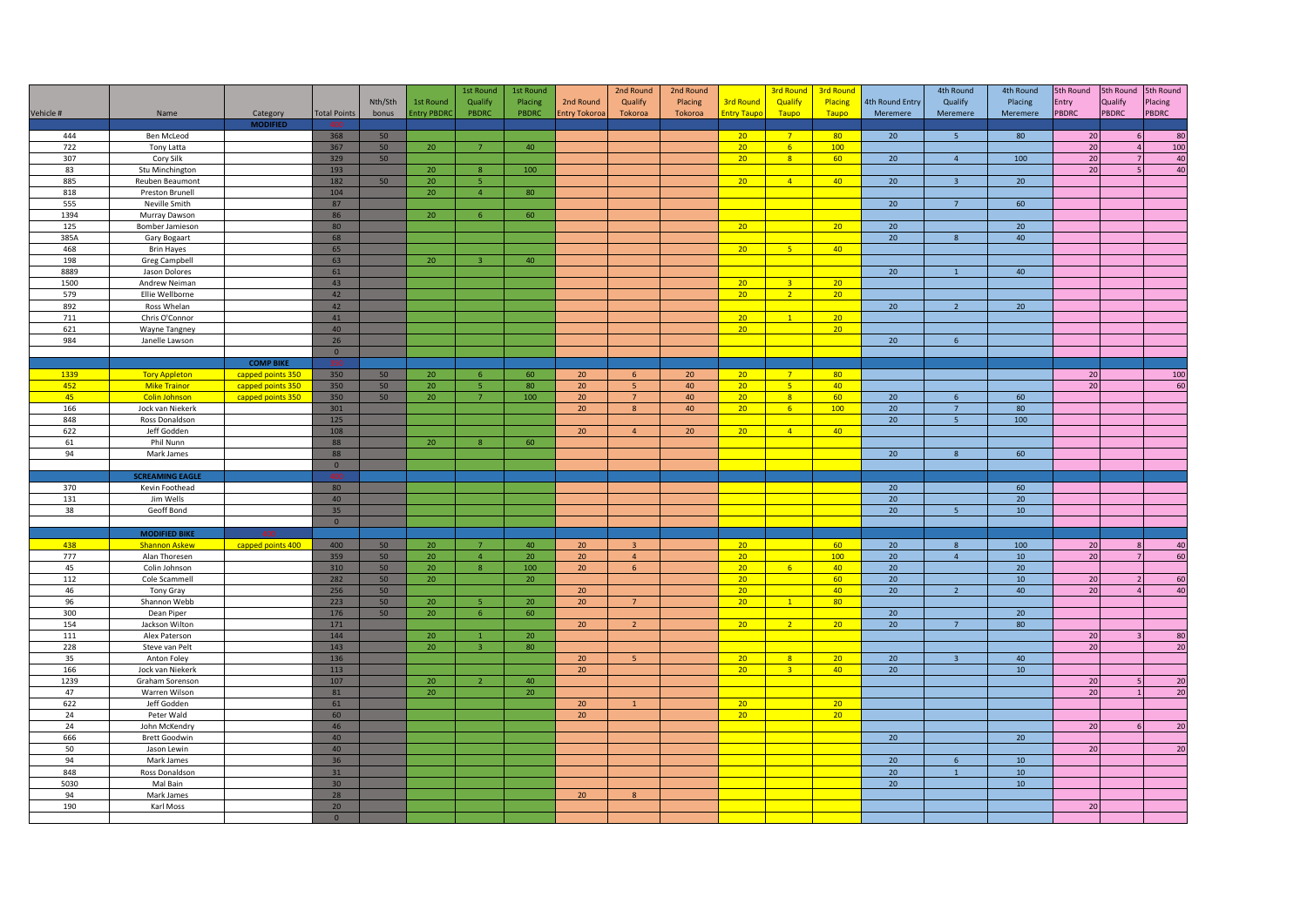|            |                                     |                   |                     | Nth/Sth  | 1st Round         | 1st Round<br>Qualify    | 1st Round<br>Placing | 2nd Round           | 2nd Round<br>Qualify    | 2nd Round<br>Placing | 3rd Round                          | <b>3rd Round</b><br>Qualify      | <b>3rd Round</b><br>Placing | 4th Round Entry | 4th Round<br>Qualify | 4th Round<br>Placing | 5th Round<br>Entry | Qualify        | 5th Round 5th Round<br>Placing |
|------------|-------------------------------------|-------------------|---------------------|----------|-------------------|-------------------------|----------------------|---------------------|-------------------------|----------------------|------------------------------------|----------------------------------|-----------------------------|-----------------|----------------------|----------------------|--------------------|----------------|--------------------------------|
| Vehicle #  | Name                                | Category          | <b>Total Points</b> | bonus    | <b>Entry PBDR</b> | PBDRC                   | PBDRC                | <b>Entry Tokoro</b> | Tokoroa                 | Tokoroa              | <b>Entry Taupo</b>                 | Taupo                            | Taupo                       | Meremere        | Meremere             | Meremere             | <b>PBDRC</b>       | PBDRC          | <b>PBDRC</b>                   |
|            |                                     | <b>MODIFIED</b>   |                     |          |                   |                         |                      |                     |                         |                      |                                    |                                  |                             |                 |                      |                      |                    |                |                                |
| 444<br>722 | <b>Ben McLeod</b><br>Tony Latta     |                   | 368<br>367          | 50<br>50 | 20 <sub>2</sub>   | 7 <sup>7</sup>          | 40                   |                     |                         |                      | 20 <sup>°</sup><br>20 <sup>°</sup> | 7 <sup>7</sup><br>6 <sup>1</sup> | 80 <sup>°</sup><br>100      | 20              | 5 <sup>5</sup>       | 80                   | 20<br>20           | $\overline{4}$ | 80<br>100                      |
| 307        | Cory Silk                           |                   | 329                 | 50       |                   |                         |                      |                     |                         |                      | 20 <sup>2</sup>                    | 8 <sup>1</sup>                   | 60                          | 20              | $\overline{4}$       | 100                  | 20                 | $\overline{7}$ | 40                             |
| 83         | Stu Minchington                     |                   | 193                 |          | 20                | 8                       | 100                  |                     |                         |                      |                                    |                                  |                             |                 |                      |                      | $\overline{20}$    |                | 40                             |
| 885        | Reuben Beaumont                     |                   | 182                 | 50       | 20                | 5                       |                      |                     |                         |                      | 20 <sup>°</sup>                    | $\overline{4}$                   | 40 <sup>°</sup>             | 20              | $\overline{3}$       | 20 <sub>2</sub>      |                    |                |                                |
| 818        | Preston Brunell                     |                   | 104                 |          | 20                | $\overline{4}$          | 80                   |                     |                         |                      |                                    |                                  |                             |                 |                      |                      |                    |                |                                |
| 555        | Neville Smith                       |                   | 87                  |          |                   |                         |                      |                     |                         |                      |                                    |                                  |                             | 20              | $\overline{7}$       | 60                   |                    |                |                                |
| 1394       | Murray Dawson                       |                   | 86                  |          | 20                | 6                       | 60                   |                     |                         |                      |                                    |                                  |                             |                 |                      |                      |                    |                |                                |
| 125        | Bomber Jamieson                     |                   | 80                  |          |                   |                         |                      |                     |                         |                      | 20 <sup>2</sup>                    |                                  | 20 <sup>2</sup>             | 20              |                      | 20                   |                    |                |                                |
| 385A       | Gary Bogaart                        |                   | 68                  |          |                   |                         |                      |                     |                         |                      |                                    |                                  |                             | 20              | 8                    | 40                   |                    |                |                                |
| 468        | <b>Brin Hayes</b>                   |                   | 65                  |          |                   |                         |                      |                     |                         |                      | 20                                 | 5 <sup>7</sup>                   | 40 <sup>°</sup>             |                 |                      |                      |                    |                |                                |
| 198        | <b>Greg Campbell</b>                |                   | 63                  |          | 20                | $\overline{3}$          | 40                   |                     |                         |                      |                                    |                                  |                             |                 |                      |                      |                    |                |                                |
| 8889       | Jason Dolores                       |                   | 61                  |          |                   |                         |                      |                     |                         |                      |                                    | $\overline{3}$                   |                             | 20              | $\mathbf{1}$         | 40                   |                    |                |                                |
| 1500       | Andrew Neiman                       |                   | 43                  |          |                   |                         |                      |                     |                         |                      | 20                                 | 2 <sup>7</sup>                   | 20                          |                 |                      |                      |                    |                |                                |
| 579<br>892 | Ellie Wellborne<br>Ross Whelan      |                   | 42<br>42            |          |                   |                         |                      |                     |                         |                      | 20                                 |                                  | 20 <sub>2</sub>             | 20              | $\overline{2}$       | 20 <sup>°</sup>      |                    |                |                                |
| 711        | Chris O'Connor                      |                   | 41                  |          |                   |                         |                      |                     |                         |                      | 20 <sup>°</sup>                    | $\mathbf{1}$                     | 20 <sup>2</sup>             |                 |                      |                      |                    |                |                                |
| 621        | Wayne Tangney                       |                   | 40                  |          |                   |                         |                      |                     |                         |                      | 20 <sub>2</sub>                    |                                  | 20 <sup>°</sup>             |                 |                      |                      |                    |                |                                |
| 984        | Janelle Lawson                      |                   | 26                  |          |                   |                         |                      |                     |                         |                      |                                    |                                  |                             | 20              | 6                    |                      |                    |                |                                |
|            |                                     |                   | $\circ$             |          |                   |                         |                      |                     |                         |                      |                                    |                                  |                             |                 |                      |                      |                    |                |                                |
|            |                                     | <b>COMP BIKE</b>  |                     |          |                   |                         |                      |                     |                         |                      |                                    |                                  |                             |                 |                      |                      |                    |                |                                |
| 1339       | <b>Tory Appleton</b>                | capped points 350 | 350                 | 50       | 20 <sub>2</sub>   | 6                       | 60                   | 20 <sub>2</sub>     | 6                       | 20                   | 20 <sub>2</sub>                    | 7 <sup>7</sup>                   | 80                          |                 |                      |                      | 20                 |                | 100                            |
| 452        | <b>Mike Trainor</b>                 | capped points 350 | 350                 | 50       | 20                | 5 <sub>1</sub>          | 80                   | 20                  | 5 <sub>1</sub>          | 40                   | 20 <sup>2</sup>                    | 5 <sub>1</sub>                   | 40                          |                 |                      |                      | 20                 |                | 60                             |
| 45         | <b>Colin Johnson</b>                | capped points 350 | 350                 | 50       | 20                | $\overline{7}$          | 100                  | 20                  | $\overline{7}$          | 40                   | 20                                 | 8 <sup>°</sup>                   | 60                          | 20              | 6                    | 60                   |                    |                |                                |
| 166        | Jock van Niekerk                    |                   | 301                 |          |                   |                         |                      | 20                  | 8                       | 40                   | 20 <sup>°</sup>                    | 6 <sup>1</sup>                   | 100                         | 20              | $7^{\circ}$          | 80                   |                    |                |                                |
| 848        | Ross Donaldson                      |                   | 125                 |          |                   |                         |                      |                     |                         |                      |                                    |                                  |                             | 20              | 5 <sup>5</sup>       | 100                  |                    |                |                                |
| 622        | Jeff Godden                         |                   | 108                 |          |                   |                         |                      | 20                  | $\overline{4}$          | 20                   | 20 <sup>2</sup>                    | $\sqrt{4}$                       | 40                          |                 |                      |                      |                    |                |                                |
| 61         | Phil Nunn                           |                   | 88                  |          | 20                | 8                       | 60                   |                     |                         |                      |                                    |                                  |                             |                 |                      |                      |                    |                |                                |
| 94         | Mark James                          |                   | 88                  |          |                   |                         |                      |                     |                         |                      |                                    |                                  |                             | 20              | 8                    | 60                   |                    |                |                                |
|            |                                     |                   | $\overline{0}$      |          |                   |                         |                      |                     |                         |                      |                                    |                                  |                             |                 |                      |                      |                    |                |                                |
|            | <b>SCREAMING EAGLE</b>              |                   | 80                  |          |                   |                         |                      |                     |                         |                      |                                    |                                  |                             |                 |                      |                      |                    |                |                                |
| 370<br>131 | Kevin Foothead<br>Jim Wells         |                   | 40                  |          |                   |                         |                      |                     |                         |                      |                                    |                                  |                             | 20<br>20        |                      | 60<br>20             |                    |                |                                |
| 38         | Geoff Bond                          |                   | 35                  |          |                   |                         |                      |                     |                         |                      |                                    |                                  |                             | 20              | 5 <sup>5</sup>       | 10                   |                    |                |                                |
|            |                                     |                   | $\mathbf 0$         |          |                   |                         |                      |                     |                         |                      |                                    |                                  |                             |                 |                      |                      |                    |                |                                |
|            | <b>MODIFIED BIKE</b>                |                   |                     |          |                   |                         |                      |                     |                         |                      |                                    |                                  |                             |                 |                      |                      |                    |                |                                |
| 438        | <b>Shannon Askew</b>                | capped points 400 | 400                 | 50       | 20 <sub>2</sub>   | $\overline{7}$          | 40                   | 20                  | $\overline{\mathbf{3}}$ |                      | 20                                 |                                  | 60                          | 20              | 8                    | 100                  | 20                 |                | 40                             |
| 777        | Alan Thoresen                       |                   | 359                 | 50       | 20                | $\overline{4}$          | 20                   | 20                  | $\overline{4}$          |                      | 20                                 |                                  | 100                         | 20              | $\overline{4}$       | 10                   | $\overline{20}$    |                | 60                             |
| 45         | Colin Johnson                       |                   | 310                 | 50       | 20                | 8 <sup>°</sup>          | 100                  | 20 <sup>°</sup>     | 6                       |                      | 20 <sup>°</sup>                    | 6 <sup>1</sup>                   | 40 <sup>°</sup>             | 20              |                      | 20 <sub>2</sub>      |                    |                |                                |
| 112        | Cole Scammell                       |                   | 282                 | 50       | 20                |                         | 20                   |                     |                         |                      | 20 <sup>2</sup>                    |                                  | 60                          | 20              |                      | 10                   | 20                 | $\overline{2}$ | 60                             |
| 46         | Tony Gray                           |                   | 256                 | 50       |                   |                         |                      | 20                  |                         |                      | 20 <sup>°</sup>                    |                                  | 40                          | 20              | $\overline{2}$       | 40                   | 20                 |                | 40                             |
| 96         | Shannon Webb                        |                   | 223                 | 50       | 20 <sub>2</sub>   | $\overline{\mathbf{5}}$ | 20                   | 20 <sup>°</sup>     | $\overline{7}$          |                      | 20 <sub>2</sub>                    | $\mathbf{1}$                     | 80                          |                 |                      |                      |                    |                |                                |
| 300        | Dean Piper                          |                   | 176                 | 50       | 20 <sub>2</sub>   | 6 <sup>6</sup>          | 60                   |                     |                         |                      |                                    |                                  |                             | 20              |                      | 20 <sub>2</sub>      |                    |                |                                |
| 154        | Jackson Wilton                      |                   | $171\,$             |          |                   |                         |                      | 20                  | $\overline{2}$          |                      | 20                                 | 2 <sup>7</sup>                   | 20 <sup>2</sup>             | 20              | $7\overline{ }$      | 80                   |                    |                |                                |
| 111        | Alex Paterson                       |                   | 144                 |          | 20                | $\overline{1}$          | 20                   |                     |                         |                      |                                    |                                  |                             |                 |                      |                      | 20                 |                | 80                             |
| 228        | Steve van Pelt                      |                   | 143                 |          | 20                | $\overline{3}$          | 80                   | 20                  | $-5$                    |                      | 20                                 | 8 <sup>1</sup>                   |                             |                 | $\overline{3}$       |                      | 20                 |                | $\overline{20}$                |
| 35<br>166  | Anton Foley                         |                   | 136                 |          |                   |                         |                      | 20                  |                         |                      | 20 <sup>2</sup>                    | 3 <sup>7</sup>                   | 20 <sup>2</sup><br>40       | 20              |                      | 40<br>10             |                    |                |                                |
| 1239       | Jock van Niekerk<br>Graham Sorenson |                   | 113<br>107          |          | 20 <sub>2</sub>   | $\overline{2}$          | 40                   |                     |                         |                      |                                    |                                  |                             | 20              |                      |                      | 20                 |                | 20                             |
| 47         | Warren Wilson                       |                   | 81                  |          | 20 <sub>2</sub>   |                         | 20                   |                     |                         |                      |                                    |                                  |                             |                 |                      |                      | 20                 | $\overline{1}$ | 20                             |
| 622        | Jeff Godden                         |                   | 61                  |          |                   |                         |                      | 20                  | $\overline{1}$          |                      | 20                                 |                                  | 20                          |                 |                      |                      |                    |                |                                |
| 24         | Peter Wald                          |                   | 60                  |          |                   |                         |                      | 20                  |                         |                      | 20 <sup>°</sup>                    |                                  | 20 <sup>°</sup>             |                 |                      |                      |                    |                |                                |
| 24         | John McKendry                       |                   | 46                  |          |                   |                         |                      |                     |                         |                      |                                    |                                  |                             |                 |                      |                      | 20                 |                | 20                             |
| 666        | <b>Brett Goodwin</b>                |                   | 40                  |          |                   |                         |                      |                     |                         |                      |                                    |                                  |                             | 20              |                      | 20                   |                    |                |                                |
| 50         | Jason Lewin                         |                   | 40                  |          |                   |                         |                      |                     |                         |                      |                                    |                                  |                             |                 |                      |                      | 20                 |                | 20                             |
| 94         | Mark James                          |                   | 36                  |          |                   |                         |                      |                     |                         |                      |                                    |                                  |                             | 20              | 6                    | 10                   |                    |                |                                |
| 848        | Ross Donaldson                      |                   | 31                  |          |                   |                         |                      |                     |                         |                      |                                    |                                  |                             | 20              | $\mathbf{1}$         | $10\,$               |                    |                |                                |
| 5030       | Mal Bain                            |                   | 30 <sup>°</sup>     |          |                   |                         |                      |                     |                         |                      |                                    |                                  |                             | 20              |                      | 10                   |                    |                |                                |
| 94         | Mark James                          |                   | 28                  |          |                   |                         |                      | 20                  | 8                       |                      |                                    |                                  |                             |                 |                      |                      |                    |                |                                |
| 190        | Karl Moss                           |                   | 20                  |          |                   |                         |                      |                     |                         |                      |                                    |                                  |                             |                 |                      |                      | 20                 |                |                                |
|            |                                     |                   | $\circ$             |          |                   |                         |                      |                     |                         |                      |                                    |                                  |                             |                 |                      |                      |                    |                |                                |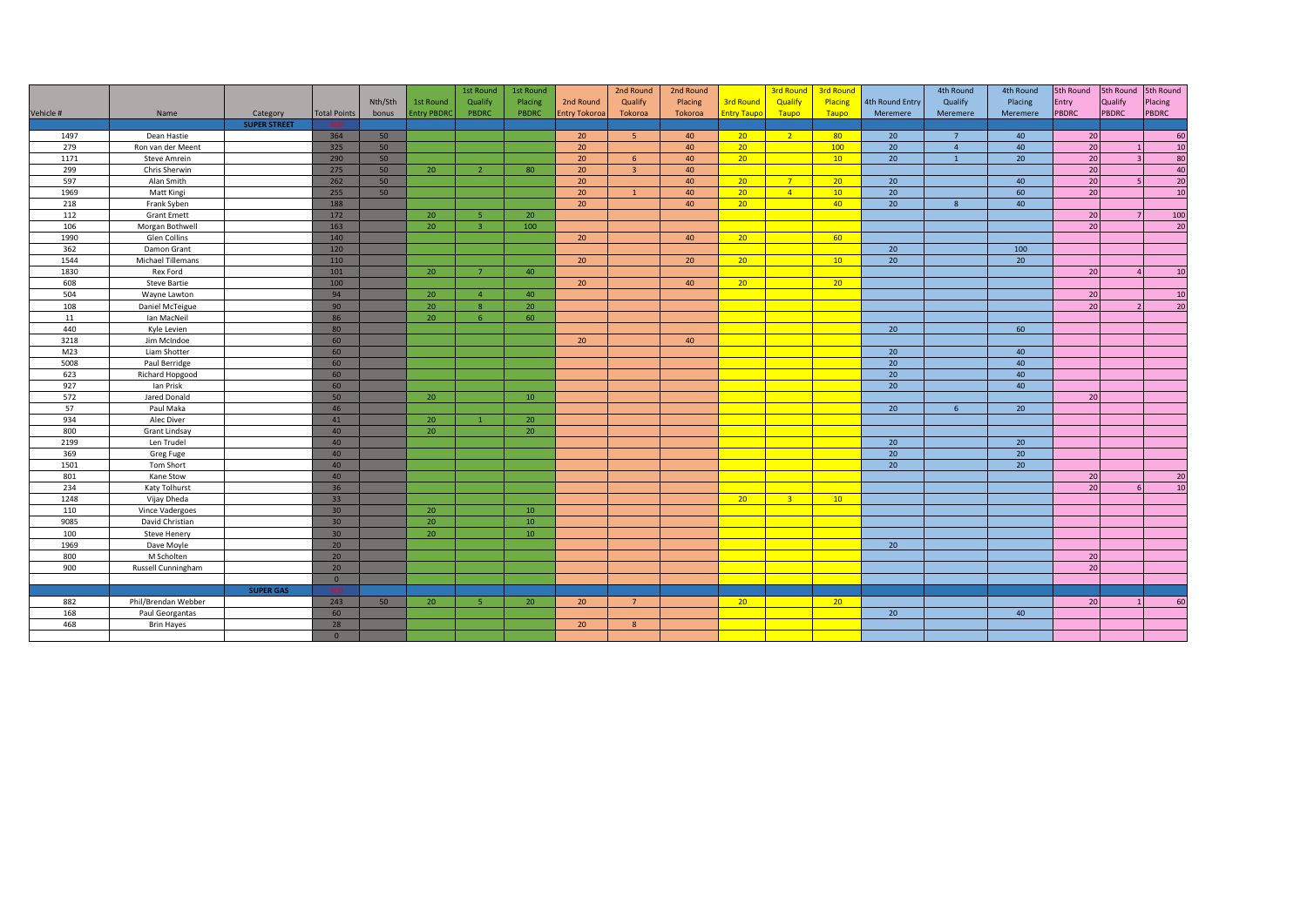|           |                     |                     |                     |         |                   | 1st Round      | 1st Round |                      | 2nd Round      | 2nd Round |                    |                | 3rd Round 3rd Round |                 | 4th Round      | 4th Round       | 5th Round       | 5th Round 5th Round |         |
|-----------|---------------------|---------------------|---------------------|---------|-------------------|----------------|-----------|----------------------|----------------|-----------|--------------------|----------------|---------------------|-----------------|----------------|-----------------|-----------------|---------------------|---------|
|           |                     |                     |                     | Nth/Sth | 1st Round         | Qualify        | Placing   | 2nd Round            | Qualify        | Placing   | <b>3rd Round</b>   | Qualify        | Placing             | 4th Round Entry | Qualify        | Placing         | Entry           | Qualify             | Placing |
| Vehicle # | Name                | Category            | <b>Total Points</b> | bonus   | <b>Entry PBDR</b> | PBDRC          | PBDRC     | <b>Entry Tokoroa</b> | Tokoroa        | Tokoroa   | <b>Entry Taupo</b> | Taupo          | Taupo               | Meremere        | Meremere       | Meremere        | PBDRC           | <b>PBDRC</b>        | PBDRC   |
|           |                     | <b>SUPER STREET</b> |                     |         |                   |                |           |                      |                |           |                    |                |                     |                 |                |                 |                 |                     |         |
| 1497      | Dean Hastie         |                     | 364                 | 50      |                   |                |           | 20                   | -5             | 40        | 20 <sup>2</sup>    | 2 <sup>7</sup> | 80 <sup>°</sup>     | 20              | $\overline{7}$ | 40              | 20              |                     | 60      |
| 279       | Ron van der Meent   |                     | 325                 | 50      |                   |                |           | 20                   |                | 40        | $20-1$             |                | 100                 | 20              | $\overline{4}$ | 40              | $\overline{20}$ |                     | 10      |
| 1171      | <b>Steve Amrein</b> |                     | 290                 | 50      |                   |                |           | 20                   | 6              | 40        | 20 <sup>2</sup>    |                | 10 <sup>°</sup>     | 20              | $\overline{1}$ | 20 <sup>°</sup> | 20              |                     | 80      |
| 299       | Chris Sherwin       |                     | 275                 | 50      | 20                | $\overline{2}$ | 80        | 20                   | $\overline{3}$ | 40        |                    |                |                     |                 |                |                 | 20              |                     | 40      |
| 597       | Alan Smith          |                     | 262                 | 50      |                   |                |           | 20                   |                | 40        | $20-1$             | 7 <sup>2</sup> | 20 <sup>2</sup>     | 20              |                | 40              | 20              |                     | 20      |
| 1969      | Matt Kingi          |                     | 255                 | 50      |                   |                |           | 20                   | $\mathbf{1}$   | 40        | $20-1$             | $\overline{4}$ | 10 <sup>°</sup>     | 20              |                | 60              | 20              |                     | 10      |
| 218       | Frank Syben         |                     | 188                 |         |                   |                |           | 20                   |                | 40        | 20 <sup>2</sup>    |                | 40 <sup>°</sup>     | 20              | $\mathbf{8}$   | 40              |                 |                     |         |
| 112       | <b>Grant Emett</b>  |                     | 172                 |         | 20                | -5             | 20        |                      |                |           |                    |                |                     |                 |                |                 | 20              |                     | 100     |
| 106       | Morgan Bothwell     |                     | 163                 |         | 20                | $\mathbf{B}$   | 100       |                      |                |           |                    |                |                     |                 |                |                 | 20              |                     | 20      |
| 1990      | Glen Collins        |                     | 140                 |         |                   |                |           | 20                   |                | 40        | 20                 |                | 60                  |                 |                |                 |                 |                     |         |
| 362       | Damon Grant         |                     | 120                 |         |                   |                |           |                      |                |           |                    |                |                     | 20              |                | 100             |                 |                     |         |
| 1544      | Michael Tillemans   |                     | 110                 |         |                   |                |           | 20                   |                | 20        | 20 <sup>2</sup>    |                | 10                  | 20              |                | 20              |                 |                     |         |
| 1830      | Rex Ford            |                     | 101                 |         | 20                | $\overline{7}$ | 40        |                      |                |           |                    |                |                     |                 |                |                 | 20              |                     | 10      |
| 608       | <b>Steve Bartie</b> |                     | 100                 |         |                   |                |           | 20                   |                | 40        | 20 <sup>2</sup>    |                | 20 <sup>2</sup>     |                 |                |                 |                 |                     |         |
| 504       | Wayne Lawton        |                     | 94                  |         | 20                | $\Delta$       | 40        |                      |                |           |                    |                |                     |                 |                |                 | 20              |                     | 10      |
| 108       | Daniel McTeigue     |                     | 90                  |         | 20                | 8              | 20        |                      |                |           |                    |                |                     |                 |                |                 | 20              |                     | 20      |
| 11        | Ian MacNeil         |                     | 86                  |         | 20                | 6              | 60        |                      |                |           |                    |                |                     |                 |                |                 |                 |                     |         |
| 440       | Kyle Levien         |                     | 80                  |         |                   |                |           |                      |                |           |                    |                |                     | 20              |                | 60              |                 |                     |         |
| 3218      | Jim McIndoe         |                     | 60                  |         |                   |                |           | 20                   |                | 40        |                    |                |                     |                 |                |                 |                 |                     |         |
| M23       | Liam Shotter        |                     | 60                  |         |                   |                |           |                      |                |           |                    |                |                     | 20              |                | 40              |                 |                     |         |
| 5008      | Paul Berridge       |                     | 60                  |         |                   |                |           |                      |                |           |                    |                |                     | 20              |                | 40              |                 |                     |         |
| 623       | Richard Hopgood     |                     | 60                  |         |                   |                |           |                      |                |           |                    |                |                     | 20              |                | 40              |                 |                     |         |
| 927       | Ian Prisk           |                     | 60                  |         |                   |                |           |                      |                |           |                    |                |                     | 20              |                | 40              |                 |                     |         |
| 572       | Jared Donald        |                     | 50                  |         | 20                |                | 10        |                      |                |           |                    |                |                     |                 |                |                 | 20              |                     |         |
| 57        | Paul Maka           |                     | 46                  |         |                   |                |           |                      |                |           |                    |                |                     | 20              | 6              | 20              |                 |                     |         |
| 934       | Alec Diver          |                     | 41                  |         | 20                | $\overline{1}$ | 20        |                      |                |           |                    |                |                     |                 |                |                 |                 |                     |         |
| 800       | Grant Lindsay       |                     | 40                  |         | 20                |                | 20        |                      |                |           |                    |                |                     |                 |                |                 |                 |                     |         |
| 2199      | Len Trudel          |                     | 40                  |         |                   |                |           |                      |                |           |                    |                |                     | 20              |                | 20              |                 |                     |         |
| 369       | Greg Fuge           |                     | 40                  |         |                   |                |           |                      |                |           |                    |                |                     | 20              |                | 20              |                 |                     |         |
| 1501      | Tom Short           |                     | 40                  |         |                   |                |           |                      |                |           |                    |                |                     | 20              |                | 20 <sup>°</sup> |                 |                     |         |
| 801       | Kane Stow           |                     | 40                  |         |                   |                |           |                      |                |           |                    |                |                     |                 |                |                 | 20              |                     | 20      |
| 234       | Katy Tolhurst       |                     | 36                  |         |                   |                |           |                      |                |           |                    |                |                     |                 |                |                 | 20              |                     | 10      |
| 1248      | Vijay Dheda         |                     | 33                  |         |                   |                |           |                      |                |           | 20 <sup>2</sup>    | 3 <sup>2</sup> | 10                  |                 |                |                 |                 |                     |         |
| 110       | Vince Vadergoes     |                     | 30 <sup>°</sup>     |         | 20                |                | 10        |                      |                |           |                    |                |                     |                 |                |                 |                 |                     |         |
| 9085      | David Christian     |                     | 30 <sup>°</sup>     |         | 20                |                | 10        |                      |                |           |                    |                |                     |                 |                |                 |                 |                     |         |
| 100       | Steve Henery        |                     | 30 <sup>°</sup>     |         | 20                |                | 10        |                      |                |           |                    |                |                     |                 |                |                 |                 |                     |         |
| 1969      | Dave Moyle          |                     | 20                  |         |                   |                |           |                      |                |           |                    |                |                     | 20              |                |                 |                 |                     |         |
| 800       | M Scholten          |                     | 20 <sup>°</sup>     |         |                   |                |           |                      |                |           |                    |                |                     |                 |                |                 | 20              |                     |         |
| 900       | Russell Cunningham  |                     | 20                  |         |                   |                |           |                      |                |           |                    |                |                     |                 |                |                 | 20              |                     |         |
|           |                     |                     | $\circ$             |         |                   |                |           |                      |                |           |                    |                |                     |                 |                |                 |                 |                     |         |
|           |                     | <b>SUPER GAS</b>    | 400                 |         |                   |                |           |                      |                |           |                    |                |                     |                 |                |                 |                 |                     |         |
| 882       | Phil/Brendan Webber |                     | 243                 | 50      | 20                | 5              | 20        | 20                   | $7^{\circ}$    |           | $20 -$             |                | 20 <sup>2</sup>     |                 |                |                 | 20              |                     | 60      |
| 168       | Paul Georgantas     |                     | 60                  |         |                   |                |           |                      |                |           |                    |                |                     | $\overline{20}$ |                | 40              |                 |                     |         |
| 468       | <b>Brin Hayes</b>   |                     | 28                  |         |                   |                |           | 20                   | 8              |           |                    |                |                     |                 |                |                 |                 |                     |         |
|           |                     |                     | $\circ$             |         |                   |                |           |                      |                |           |                    |                |                     |                 |                |                 |                 |                     |         |